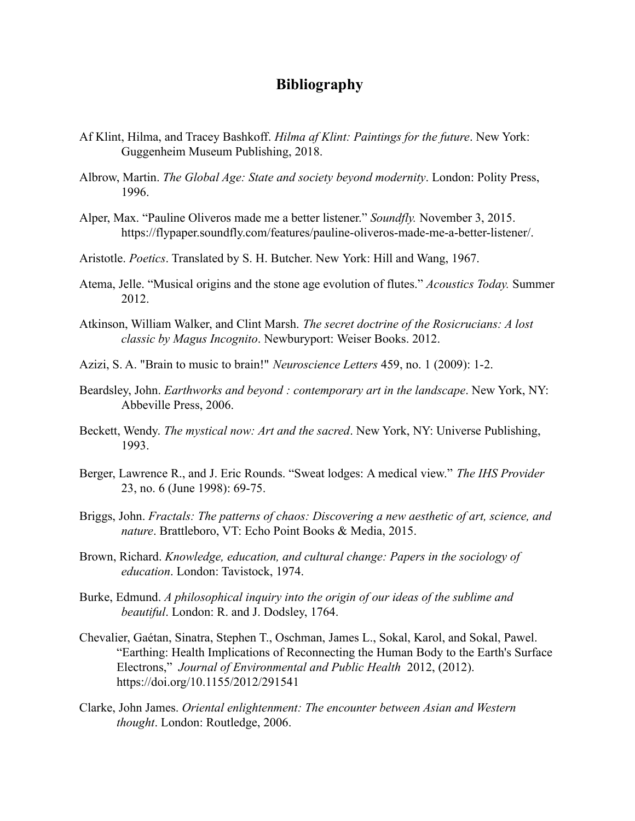## **Bibliography**

- Af Klint, Hilma, and Tracey Bashkoff. *Hilma af Klint: Paintings for the future*. New York: Guggenheim Museum Publishing, 2018.
- Albrow, Martin. *The Global Age: State and society beyond modernity*. London: Polity Press, 1996.
- Alper, Max. "Pauline Oliveros made me a better listener." *Soundfly.* November 3, 2015. https://flypaper.soundfly.com/features/pauline-oliveros-made-me-a-better-listener/.
- Aristotle. *Poetics*. Translated by S. H. Butcher. New York: Hill and Wang, 1967.
- Atema, Jelle. "Musical origins and the stone age evolution of flutes." *Acoustics Today.* Summer 2012.
- Atkinson, William Walker, and Clint Marsh. *The secret doctrine of the Rosicrucians: A lost classic by Magus Incognito*. Newburyport: Weiser Books. 2012.
- Azizi, S. A. "Brain to music to brain!" *Neuroscience Letters* 459, no. 1 (2009): 1-2.
- Beardsley, John. *Earthworks and beyond : contemporary art in the landscape*. New York, NY: Abbeville Press, 2006.
- Beckett, Wendy. *The mystical now: Art and the sacred*. New York, NY: Universe Publishing, 1993.
- Berger, Lawrence R., and J. Eric Rounds. "Sweat lodges: A medical view." *The IHS Provider* 23, no. 6 (June 1998): 69-75.
- Briggs, John. *Fractals: The patterns of chaos: Discovering a new aesthetic of art, science, and nature*. Brattleboro, VT: Echo Point Books & Media, 2015.
- Brown, Richard. *Knowledge, education, and cultural change: Papers in the sociology of education*. London: Tavistock, 1974.
- Burke, Edmund. *A philosophical inquiry into the origin of our ideas of the sublime and beautiful*. London: R. and J. Dodsley, 1764.
- Chevalier, Gaétan, Sinatra, Stephen T., Oschman, James L., Sokal, Karol, and Sokal, Pawel. "Earthing: Health Implications of Reconnecting the Human Body to the Earth's Surface Electrons," *Journal of Environmental and Public Health* 2012, (2012). https://doi.org/10.1155/2012/291541
- Clarke, John James. *Oriental enlightenment: The encounter between Asian and Western thought*. London: Routledge, 2006.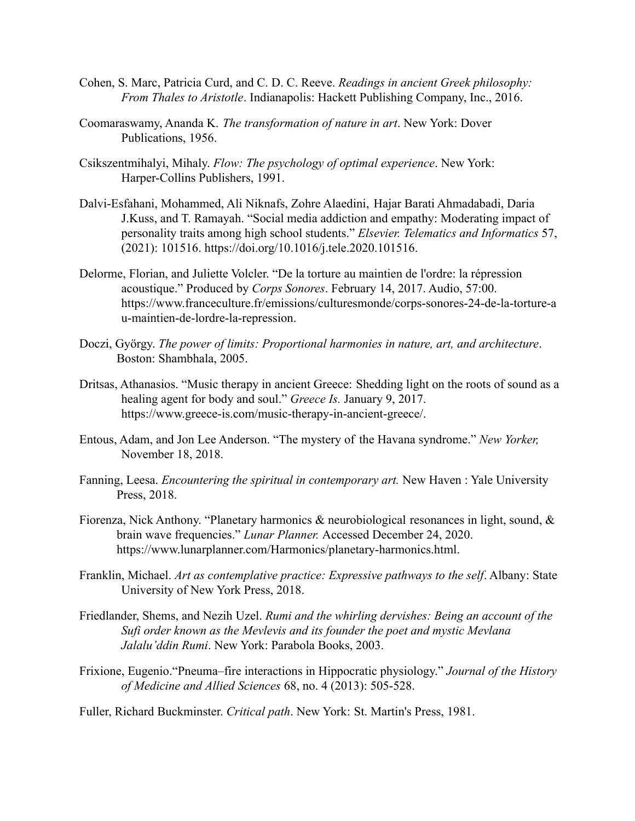- Cohen, S. Marc, Patricia Curd, and C. D. C. Reeve. *Readings in ancient Greek philosophy: From Thales to Aristotle*. Indianapolis: Hackett Publishing Company, Inc., 2016.
- Coomaraswamy, Ananda K. *The transformation of nature in art*. New York: Dover Publications, 1956.
- Csikszentmihalyi, Mihaly. *Flow: The psychology of optimal experience*. New York: Harper-Collins Publishers, 1991.
- Dalvi-Esfahani, Mohammed, Ali Niknafs, Zohre Alaedini, Hajar Barati Ahmadabadi, Daria J.Kuss, and T. Ramayah. "Social media addiction and empathy: Moderating impact of personality traits among high school students." *Elsevier. Telematics and Informatics* 57, (2021): 101516. https://doi.org/10.1016/j.tele.2020.101516.
- Delorme, Florian, and Juliette Volcler. "De la torture au maintien de l'ordre: la répression acoustique." Produced by *Corps Sonores*. February 14, 2017. Audio, 57:00. https://www.franceculture.fr/emissions/culturesmonde/corps-sonores-24-de-la-torture-a u-maintien-de-lordre-la-repression.
- Doczi, György. *The power of limits: Proportional harmonies in nature, art, and architecture*. Boston: Shambhala, 2005.
- Dritsas, Athanasios. "Music therapy in ancient Greece: Shedding light on the roots of sound as a healing agent for body and soul." *Greece Is.* January 9, 2017. https://www.greece-is.com/music-therapy-in-ancient-greece/.
- Entous, Adam, and Jon Lee Anderson. "The mystery of the Havana syndrome." *New Yorker,* November 18, 2018.
- Fanning, Leesa. *Encountering the spiritual in contemporary art.* New Haven : Yale University Press, 2018.
- Fiorenza, Nick Anthony. "Planetary harmonics & neurobiological resonances in light, sound, & brain wave frequencies." *Lunar Planner.* Accessed December 24, 2020. https://www.lunarplanner.com/Harmonics/planetary-harmonics.html.
- Franklin, Michael. *Art as contemplative practice: Expressive pathways to the self*. Albany: State University of New York Press, 2018.
- Friedlander, Shems, and Nezih Uzel. *Rumi and the whirling dervishes: Being an account of the Sufi order known as the Mevlevis and its founder the poet and mystic Mevlana Jalalu'ddin Rumi*. New York: Parabola Books, 2003.
- Frixione, Eugenio."Pneuma–fire interactions in Hippocratic physiology." *Journal of the History of Medicine and Allied Sciences* 68, no. 4 (2013): 505-528.

Fuller, Richard Buckminster. *Critical path*. New York: St. Martin's Press, 1981.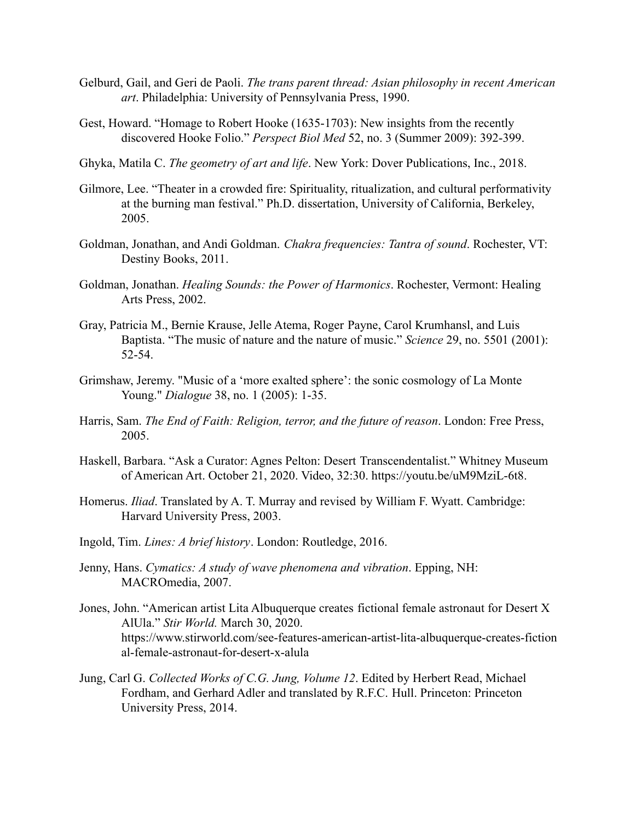- Gelburd, Gail, and Geri de Paoli. *The trans parent thread: Asian philosophy in recent American art*. Philadelphia: University of Pennsylvania Press, 1990.
- Gest, Howard. "Homage to Robert Hooke (1635-1703): New insights from the recently discovered Hooke Folio." *Perspect Biol Med* 52, no. 3 (Summer 2009): 392-399.
- Ghyka, Matila C. *The geometry of art and life*. New York: Dover Publications, Inc., 2018.
- Gilmore, Lee. "Theater in a crowded fire: Spirituality, ritualization, and cultural performativity at the burning man festival." Ph.D. dissertation, University of California, Berkeley, 2005.
- Goldman, Jonathan, and Andi Goldman. *Chakra frequencies: Tantra of sound*. Rochester, VT: Destiny Books, 2011.
- Goldman, Jonathan. *Healing Sounds: the Power of Harmonics*. Rochester, Vermont: Healing Arts Press, 2002.
- Gray, Patricia M., Bernie Krause, Jelle Atema, Roger Payne, Carol Krumhansl, and Luis Baptista. "The music of nature and the nature of music." *Science* 29, no. 5501 (2001): 52-54.
- Grimshaw, Jeremy. "Music of a 'more exalted sphere': the sonic cosmology of La Monte Young." *Dialogue* 38, no. 1 (2005): 1-35.
- Harris, Sam. *The End of Faith: Religion, terror, and the future of reason*. London: Free Press, 2005.
- Haskell, Barbara. "Ask a Curator: Agnes Pelton: Desert Transcendentalist." Whitney Museum of American Art. October 21, 2020. Video, 32:30. https://youtu.be/uM9MziL-6t8.
- Homerus. *Iliad*. Translated by A. T. Murray and revised by William F. Wyatt. Cambridge: Harvard University Press, 2003.
- Ingold, Tim. *Lines: A brief history*. London: Routledge, 2016.
- Jenny, Hans. *Cymatics: A study of wave phenomena and vibration*. Epping, NH: MACROmedia, 2007.
- Jones, John. "American artist Lita Albuquerque creates fictional female astronaut for Desert X AlUla." *Stir World.* March 30, 2020. https://www.stirworld.com/see-features-american-artist-lita-albuquerque-creates-fiction al-female-astronaut-for-desert-x-alula
- Jung, Carl G. *Collected Works of C.G. Jung, Volume 12*. Edited by Herbert Read, Michael Fordham, and Gerhard Adler and translated by R.F.C. Hull. Princeton: Princeton University Press, 2014.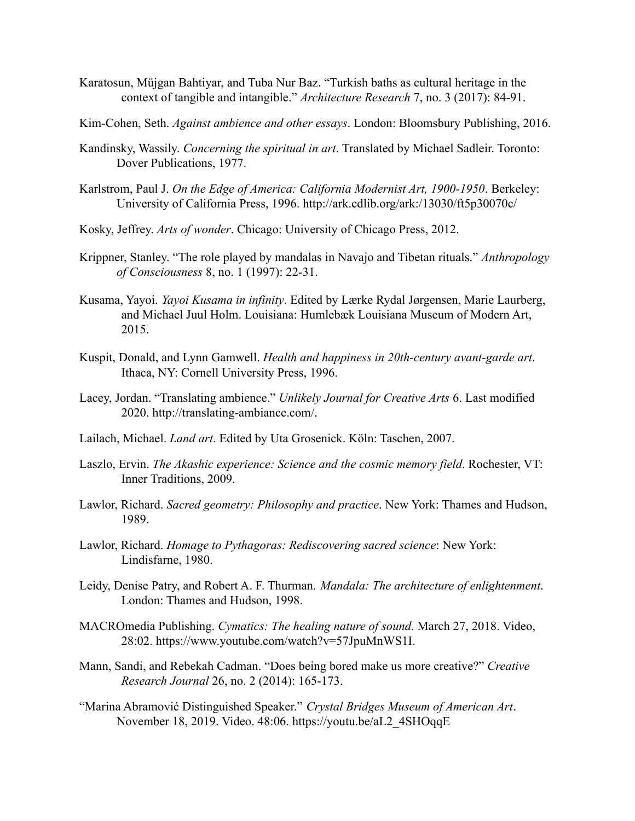- Karatosun, Müjgan Bahtiyar, and Tuba Nur Baz. "Turkish baths as cultural heritage in the context of tangible and intangible." *Architecture Research* 7, no. 3 (2017): 84-91.
- Kim-Cohen, Seth. *Against ambience and other essays*. London: Bloomsbury Publishing, 2016.
- Kandinsky, Wassily. *Concerning the spiritual in art*. Translated by Michael Sadleir. Toronto: Dover Publications, 1977.
- Karlstrom, Paul J. *On the Edge of America: California Modernist Art, 1900-1950*. Berkeley: University of California Press, 1996. http://ark.cdlib.org/ark:/13030/ft5p30070c/
- Kosky, Jeffrey. *Arts of wonder*. Chicago: University of Chicago Press, 2012.
- Krippner, Stanley. "The role played by mandalas in Navajo and Tibetan rituals." *Anthropology of Consciousness* 8, no. 1 (1997): 22-31.
- Kusama, Yayoi. *Yayoi Kusama in infinity*. Edited by Lærke Rydal Jørgensen, Marie Laurberg, and Michael Juul Holm. Louisiana: Humlebæk Louisiana Museum of Modern Art, 2015.
- Kuspit, Donald, and Lynn Gamwell. *Health and happiness in 20th-century avant-garde art*. Ithaca, NY: Cornell University Press, 1996.
- Lacey, Jordan. "Translating ambience." *Unlikely Journal for Creative Arts* 6. Last modified 2020. http://translating-ambiance.com/.
- Lailach, Michael. *Land art*. Edited by Uta Grosenick. Köln: Taschen, 2007.
- Laszlo, Ervin. *The Akashic experience: Science and the cosmic memory field*. Rochester, VT: Inner Traditions, 2009.
- Lawlor, Richard. *Sacred geometry: Philosophy and practice*. New York: Thames and Hudson, 1989.
- Lawlor, Richard. *Homage to Pythagoras: Rediscovering sacred science*: New York: Lindisfarne, 1980.
- Leidy, Denise Patry, and Robert A. F. Thurman. *Mandala: The architecture of enlightenment*. London: Thames and Hudson, 1998.
- MACROmedia Publishing. *Cymatics: The healing nature of sound.* March 27, 2018. Video, 28:02. https://www.youtube.com/watch?v=57JpuMnWS1I.
- Mann, Sandi, and Rebekah Cadman. "Does being bored make us more creative?" *Creative Research Journal* 26, no. 2 (2014): 165-173.
- "Marina Abramović Distinguished Speaker." *Crystal Bridges Museum of American Art*. November 18, 2019. Video. 48:06. https://youtu.be/aL2\_4SHOqqE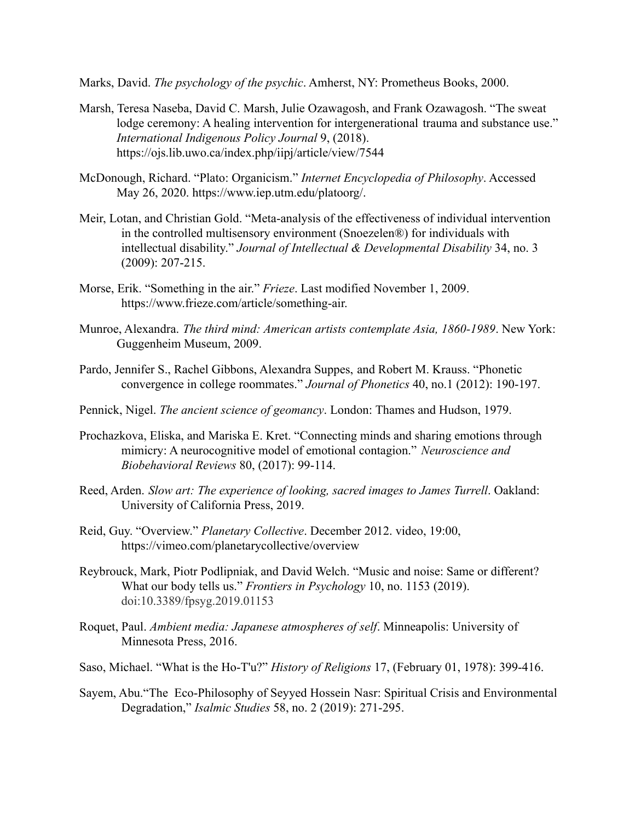Marks, David. *The psychology of the psychic*. Amherst, NY: Prometheus Books, 2000.

- Marsh, Teresa Naseba, David C. Marsh, Julie Ozawagosh, and Frank Ozawagosh. "The sweat lodge ceremony: A healing intervention for intergenerational trauma and substance use." *International Indigenous Policy Journal* 9, (2018). https://ojs.lib.uwo.ca/index.php/iipj/article/view/7544
- [McDonough, Richard. "Plato: Organicism."](https://www.zotero.org/google-docs/?b8tGRk) *Internet Encyclopedia of Philosophy*. Accessed [May 26, 2020](https://www.zotero.org/google-docs/?b8tGRk). <https://www.iep.utm.edu/platoorg/>.
- Meir, Lotan, and Christian Gold. "Meta-analysis of the effectiveness of individual intervention in the controlled multisensory environment (Snoezelen®) for individuals with intellectual disability." *Journal of Intellectual & Developmental Disability* 34, no. 3 (2009): 207-215.
- Morse, Erik. "Something in the air." *Frieze*. Last modified November 1, 2009. https://www.frieze.com/article/something-air.
- Munroe, Alexandra. *The third mind: American artists contemplate Asia, 1860-1989*. New York: Guggenheim Museum, 2009.
- Pardo, Jennifer S., Rachel Gibbons, Alexandra Suppes, and Robert M. Krauss. "Phonetic convergence in college roommates." *Journal of Phonetics* 40, no.1 (2012): 190-197.
- Pennick, Nigel. *The ancient science of geomancy*. London: Thames and Hudson, 1979.
- Prochazkova, Eliska, and Mariska E. Kret. "Connecting minds and sharing emotions through mimicry: A neurocognitive model of emotional contagion." *Neuroscience and Biobehavioral Reviews* 80, (2017): 99-114.
- Reed, Arden. *Slow art: The experience of looking, sacred images to James Turrell*. Oakland: University of California Press, 2019.
- Reid, Guy. "Overview." *Planetary Collective*. December 2012. video, 19:00, https://vimeo.com/planetarycollective/overview
- Reybrouck, Mark, Piotr Podlipniak, and David Welch. "Music and noise: Same or different? What our body tells us." *Frontiers in Psychology* 10, no. 1153 (2019). doi:10.3389/fpsyg.2019.01153
- Roquet, Paul. *Ambient media: Japanese atmospheres of self*. Minneapolis: University of Minnesota Press, 2016.
- Saso, Michael. "What is the Ho-T'u?" *History of Religions* 17, (February 01, 1978): 399-416.
- Sayem, Abu."The Eco-Philosophy of Seyyed Hossein Nasr: Spiritual Crisis and Environmental Degradation," *Isalmic Studies* 58, no. 2 (2019): 271-295.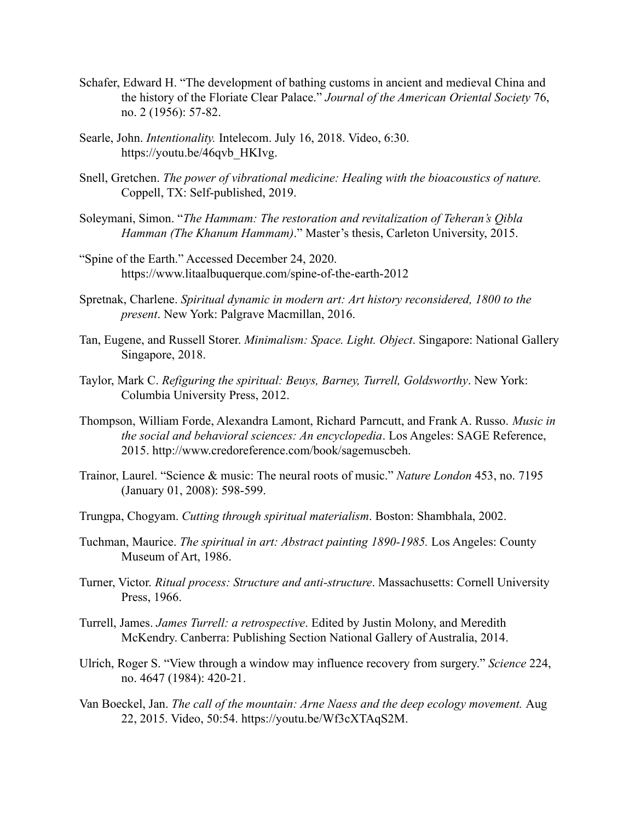- Schafer, Edward H. "The development of bathing customs in ancient and medieval China and the history of the Floriate Clear Palace." *Journal of the American Oriental Society* 76, no. 2 (1956): 57-82.
- Searle, John. *Intentionality.* Intelecom. July 16, 2018. Video, 6:30. https://youtu.be/46qvb\_HKIvg.
- Snell, Gretchen. *The power of vibrational medicine: Healing with the bioacoustics of nature.* Coppell, TX: Self-published, 2019.
- Soleymani, Simon. "*The Hammam: The restoration and revitalization of Teheran's Qibla Hamman (The Khanum Hammam)*." Master's thesis, Carleton University, 2015.
- "Spine of the Earth." Accessed December 24, 2020. https://www.litaalbuquerque.com/spine-of-the-earth-2012
- Spretnak, Charlene. *Spiritual dynamic in modern art: Art history reconsidered, 1800 to the present*. New York: Palgrave Macmillan, 2016.
- Tan, Eugene, and Russell Storer. *Minimalism: Space. Light. Object*. Singapore: National Gallery Singapore, 2018.
- Taylor, Mark C. *Refiguring the spiritual: Beuys, Barney, Turrell, Goldsworthy*. New York: Columbia University Press, 2012.
- Thompson, William Forde, Alexandra Lamont, Richard Parncutt, and Frank A. Russo. *Music in the social and behavioral sciences: An encyclopedia*. Los Angeles: SAGE Reference, 2015. http://www.credoreference.com/book/sagemuscbeh.
- Trainor, Laurel. "Science & music: The neural roots of music." *Nature London* 453, no. 7195 (January 01, 2008): 598-599.
- Trungpa, Chogyam. *Cutting through spiritual materialism*. Boston: Shambhala, 2002.
- Tuchman, Maurice. *The spiritual in art: Abstract painting 1890-1985.* Los Angeles: County Museum of Art, 1986.
- Turner, Victor. *Ritual process: Structure and anti-structure*. Massachusetts: Cornell University Press, 1966.
- Turrell, James. *James Turrell: a retrospective*. Edited by Justin Molony, and Meredith McKendry. Canberra: Publishing Section National Gallery of Australia, 2014.
- Ulrich, Roger S. "View through a window may influence recovery from surgery." *Science* 224, no. 4647 (1984): 420-21.
- Van Boeckel, Jan. *The call of the mountain: Arne Naess and the deep ecology movement.* Aug 22, 2015. Video, 50:54. https://youtu.be/Wf3cXTAqS2M.